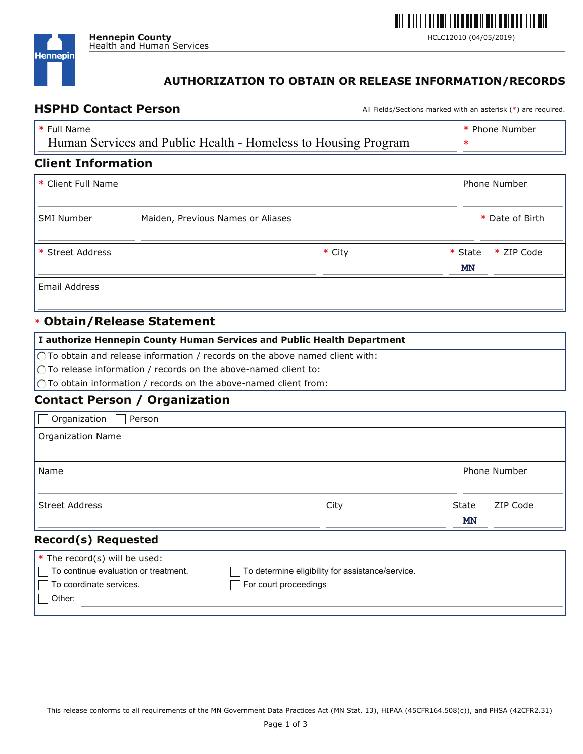

## **AUTHORIZATION TO OBTAIN OR RELEASE INFORMATION/RECORDS**

HSPHD Contact Person **Machines All Fields/Sections marked with an asterisk** (\*) are required.

| * Full Name<br>Human Services and Public Health - Homeless to Housing Program |                                   |  | * Phone Number<br>∗   |  |  |
|-------------------------------------------------------------------------------|-----------------------------------|--|-----------------------|--|--|
| <b>Client Information</b>                                                     |                                   |  |                       |  |  |
| * Client Full Name                                                            |                                   |  | Phone Number          |  |  |
| <b>SMI Number</b>                                                             | Maiden, Previous Names or Aliases |  | * Date of Birth       |  |  |
| * Street Address                                                              | * City                            |  | * ZIP Code<br>* State |  |  |
|                                                                               |                                   |  | <b>MN</b>             |  |  |
| <b>Email Address</b>                                                          |                                   |  |                       |  |  |
|                                                                               | * Obtain/Release Statement        |  |                       |  |  |

| $\vert$ I authorize Hennepin County Human Services and Public Health Department       |  |  |  |
|---------------------------------------------------------------------------------------|--|--|--|
| $\bigcap$ To obtain and release information / records on the above named client with: |  |  |  |
| $\bigcirc$ To release information / records on the above-named client to:             |  |  |  |
| $\bigcap$ To obtain information / records on the above-named client from:             |  |  |  |
| <b>Contact Person / Organization</b>                                                  |  |  |  |
| Organization [<br>Person                                                              |  |  |  |
| Organization Name                                                                     |  |  |  |

| Name                                                                                                       |                                                                           |                    | <b>Phone Number</b> |  |
|------------------------------------------------------------------------------------------------------------|---------------------------------------------------------------------------|--------------------|---------------------|--|
| Street Address                                                                                             | City                                                                      | State<br><b>MN</b> | ZIP Code            |  |
| <b>Record(s) Requested</b>                                                                                 |                                                                           |                    |                     |  |
| * The record(s) will be used:<br>To continue evaluation or treatment.<br>To coordinate services.<br>Other: | To determine eligibility for assistance/service.<br>For court proceedings |                    |                     |  |